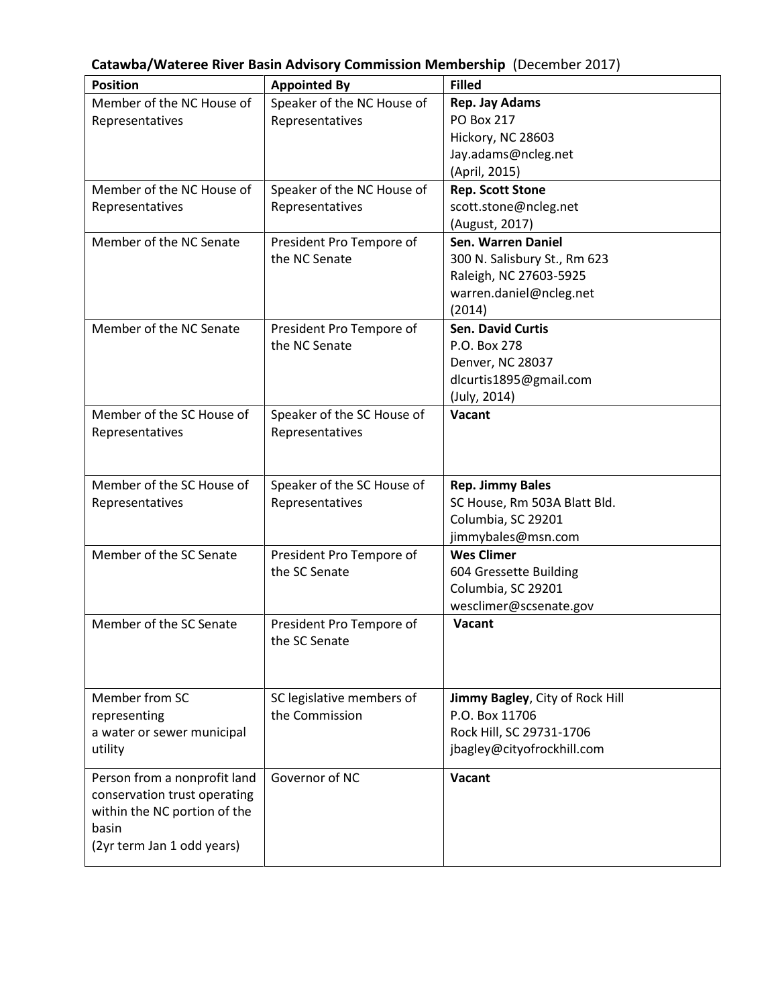| Catawba/Wateree River Basin Advisory Commission Membership (December 2017) |  |  |
|----------------------------------------------------------------------------|--|--|
|----------------------------------------------------------------------------|--|--|

| <b>Position</b>              | <b>Appointed By</b>        | <b>Filled</b>                   |
|------------------------------|----------------------------|---------------------------------|
| Member of the NC House of    | Speaker of the NC House of | <b>Rep. Jay Adams</b>           |
| Representatives              | Representatives            | <b>PO Box 217</b>               |
|                              |                            | Hickory, NC 28603               |
|                              |                            | Jay.adams@ncleg.net             |
|                              |                            | (April, 2015)                   |
| Member of the NC House of    | Speaker of the NC House of | <b>Rep. Scott Stone</b>         |
| Representatives              | Representatives            | scott.stone@ncleg.net           |
|                              |                            | (August, 2017)                  |
| Member of the NC Senate      | President Pro Tempore of   | Sen. Warren Daniel              |
|                              | the NC Senate              | 300 N. Salisbury St., Rm 623    |
|                              |                            | Raleigh, NC 27603-5925          |
|                              |                            | warren.daniel@ncleg.net         |
|                              |                            | (2014)                          |
| Member of the NC Senate      | President Pro Tempore of   | <b>Sen. David Curtis</b>        |
|                              | the NC Senate              | P.O. Box 278                    |
|                              |                            | Denver, NC 28037                |
|                              |                            | dlcurtis1895@gmail.com          |
|                              |                            | (July, 2014)                    |
| Member of the SC House of    | Speaker of the SC House of | <b>Vacant</b>                   |
| Representatives              | Representatives            |                                 |
|                              |                            |                                 |
|                              |                            |                                 |
| Member of the SC House of    | Speaker of the SC House of | <b>Rep. Jimmy Bales</b>         |
| Representatives              | Representatives            | SC House, Rm 503A Blatt Bld.    |
|                              |                            | Columbia, SC 29201              |
|                              |                            | jimmybales@msn.com              |
| Member of the SC Senate      | President Pro Tempore of   | <b>Wes Climer</b>               |
|                              | the SC Senate              | 604 Gressette Building          |
|                              |                            | Columbia, SC 29201              |
|                              |                            | wesclimer@scsenate.gov          |
| Member of the SC Senate      | President Pro Tempore of   | Vacant                          |
|                              | the SC Senate              |                                 |
|                              |                            |                                 |
|                              |                            |                                 |
| Member from SC               | SC legislative members of  | Jimmy Bagley, City of Rock Hill |
| representing                 | the Commission             | P.O. Box 11706                  |
| a water or sewer municipal   |                            | Rock Hill, SC 29731-1706        |
| utility                      |                            | jbagley@cityofrockhill.com      |
| Person from a nonprofit land | Governor of NC             | Vacant                          |
| conservation trust operating |                            |                                 |
| within the NC portion of the |                            |                                 |
| basin                        |                            |                                 |
| (2yr term Jan 1 odd years)   |                            |                                 |
|                              |                            |                                 |